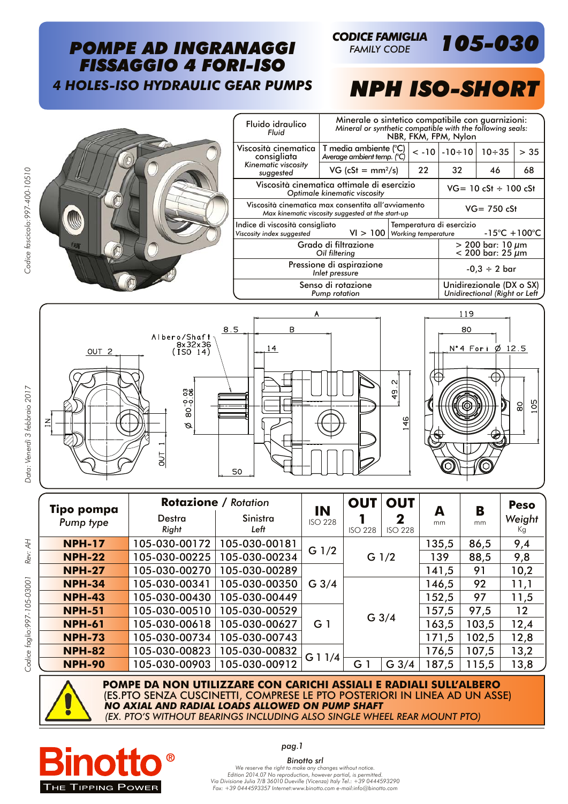## *POMPE AD INGRANAGGI FISSAGGIO 4 FORI-ISO 4 HOLES-ISO HYDRAULIC GEAR PUMPS*

*105-030 FAMILY CODE*

*CODICE FAMIGLIA*

## *NPH ISO-SHORT*

80

Ø  $12.5$ 

> 9S 80

Fluido idraulico *Fluid* Minerale o sintetico compatibile con guarnizioni: *Mineral or synthetic compatible with the following seals:* NBR, FKM, FPM, Nylon Viscosità cinematica consigliata *Kinematic viscosity suggested* T media ambiente (°C) *Average ambient temp.*  $\binom{°C}{C}$  < -10 -10÷10 10÷35 > 35 Viscosità cinematica ottimale di esercizio Viscosità cinematica max consentita all'avviamento Indice di viscosità consigliato *Viscosity index suggested* VI > 100 Grado di filtrazione *Oil filtering* Pressione di aspirazione Senso di rotazione

|  | suggested                                                                                               | $VG$ (cSt = mm <sup>2</sup> /s)<br>22                     |                                                                |  | 32  | 46 | 68 |
|--|---------------------------------------------------------------------------------------------------------|-----------------------------------------------------------|----------------------------------------------------------------|--|-----|----|----|
|  | Viscosità cinematica ottimale di esercizio<br>Optimale kinematic viscosity                              | $VG = 10 cSt \div 100 cSt$                                |                                                                |  |     |    |    |
|  | Viscosità cinematica max consentita all'avviamento<br>Max kinematic viscosity suggested at the start-up | $VG = 750 cSt$                                            |                                                                |  |     |    |    |
|  | Indice di viscosità consigliato<br>Viscosity index suggested                                            | Working temperature                                       | Temperatura di esercizio<br>$-15^{\circ}$ C + 100 $^{\circ}$ C |  |     |    |    |
|  | Grado di filtrazione<br>Oil filtering                                                                   | $> 200$ bar: 10 $\mu$ m<br>$< 200$ bar: 25 $\mu$ m        |                                                                |  |     |    |    |
|  | Pressione di aspirazione<br>Inlet pressure                                                              | $-0.3 \div 2$ bar                                         |                                                                |  |     |    |    |
|  | Senso di rotazione<br>Pump rotation                                                                     | Unidirezionale (DX o SX)<br>Unidirectional (Right or Left |                                                                |  |     |    |    |
|  | А                                                                                                       |                                                           |                                                                |  | 119 |    |    |







**POMPE DA NON UTILIZZARE CON CARICHI ASSIALI E RADIALI SULL'ALBERO**  (ES.PTO SENZA CUSCINETTI, COMPRESE LE PTO POSTERIORI IN LINEA AD UN ASSE) *NO AXIAL AND RADIAL LOADS ALLOWED ON PUMP SHAFT (EX. PTO'S WITHOUT BEARINGS INCLUDING ALSO SINGLE WHEEL REAR MOUNT PTO)*



*Binotto srl We reserve the right to make any changes without notice. Edition 2014.07 No reproduction, however partial, is permitted. Via Divisione Julia 7/B 36010 Dueville (Vicenza) Italy Tel.: +39 0444593290 Fax: +39 0444593357 Internet:www.binotto.com e-mail:info@binotto.com*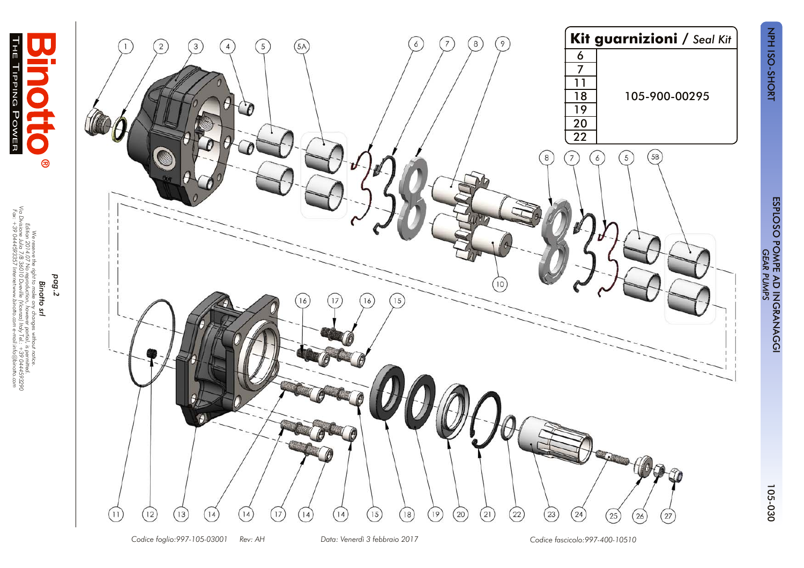

 *Data: Venerdì 3 febbraio 2017*

*Edition 2014.07 No reproduction, however partial, i*

*Via Divisione Julia 7/B 36010 Dueville (Vicenza) Italy Tel.: +39 0444593290 Fax: +39 0444593357 Internet:www.binotto.com e-mail:info@binotto.com*

्रिके

ĥ

**TIPPING** 

POWER

*Codice foglio:997-105-03001 Rev: AH Codice fascicolo:997-400-10510*